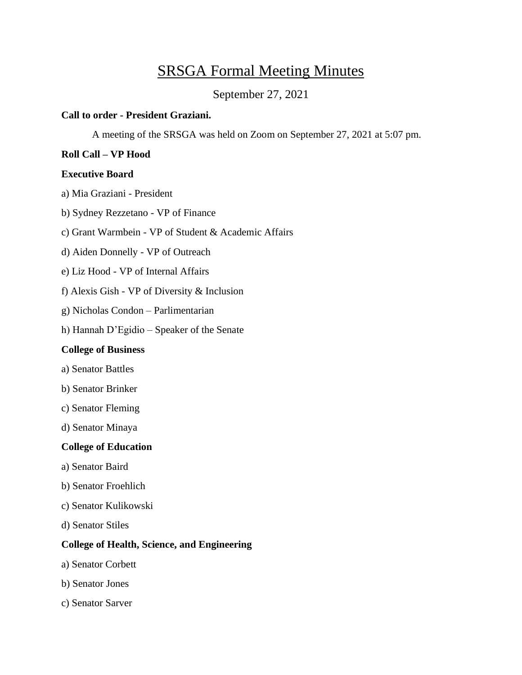# SRSGA Formal Meeting Minutes

September 27, 2021

# **Call to order - President Graziani.**

A meeting of the SRSGA was held on Zoom on September 27, 2021 at 5:07 pm.

# **Roll Call – VP Hood**

# **Executive Board**

- a) Mia Graziani President
- b) Sydney Rezzetano VP of Finance
- c) Grant Warmbein VP of Student & Academic Affairs
- d) Aiden Donnelly VP of Outreach
- e) Liz Hood VP of Internal Affairs
- f) Alexis Gish VP of Diversity & Inclusion
- g) Nicholas Condon Parlimentarian
- h) Hannah D'Egidio Speaker of the Senate

# **College of Business**

- a) Senator Battles
- b) Senator Brinker
- c) Senator Fleming
- d) Senator Minaya

# **College of Education**

- a) Senator Baird
- b) Senator Froehlich
- c) Senator Kulikowski
- d) Senator Stiles

# **College of Health, Science, and Engineering**

- a) Senator Corbett
- b) Senator Jones
- c) Senator Sarver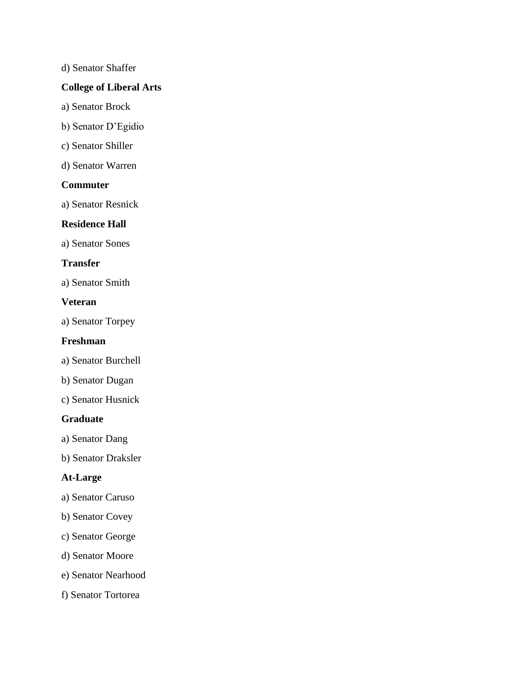d) Senator Shaffer

# **College of Liberal Arts**

- a) Senator Brock
- b) Senator D'Egidio
- c) Senator Shiller
- d) Senator Warren

# **Commuter**

a) Senator Resnick

# **Residence Hall**

a) Senator Sones

# **Transfer**

a) Senator Smith

#### **Veteran**

a) Senator Torpey

# **Freshman**

- a) Senator Burchell
- b) Senator Dugan
- c) Senator Husnick

# **Graduate**

- a) Senator Dang
- b) Senator Draksler

# **At-Large**

- a) Senator Caruso
- b) Senator Covey
- c) Senator George
- d) Senator Moore
- e) Senator Nearhood
- f) Senator Tortorea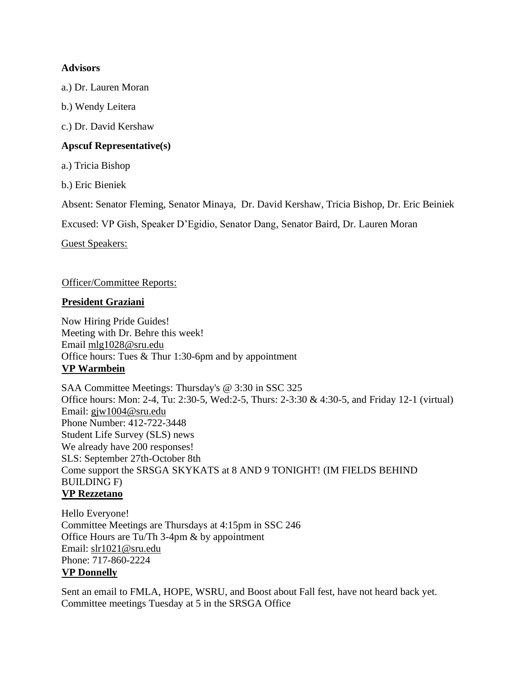# **Advisors**

a.) Dr. Lauren Moran

b.) Wendy Leitera

c.) Dr. David Kershaw

# **Apscuf Representative(s)**

a.) Tricia Bishop

b.) Eric Bieniek

Absent: Senator Fleming, Senator Minaya, Dr. David Kershaw, Tricia Bishop, Dr. Eric Beiniek

Excused: VP Gish, Speaker D'Egidio, Senator Dang, Senator Baird, Dr. Lauren Moran

Guest Speakers:

#### Officer/Committee Reports:

#### **President Graziani**

Now Hiring Pride Guides! Meeting with Dr. Behre this week! Email [mlg1028@sru.edu](mailto:mlg1028@sru.edu) Office hours: Tues & Thur 1:30-6pm and by appointment **VP Warmbein**

SAA Committee Meetings: Thursday's @ 3:30 in SSC 325 Office hours: Mon: 2-4, Tu: 2:30-5, Wed:2-5, Thurs: 2-3:30 & 4:30-5, and Friday 12-1 (virtual) Email: [gjw1004@sru.edu](mailto:gjw1004@sru.edu) Phone Number: 412-722-3448 Student Life Survey (SLS) news We already have 200 responses! SLS: September 27th-October 8th Come support the SRSGA SKYKATS at 8 AND 9 TONIGHT! (IM FIELDS BEHIND BUILDING F) **VP Rezzetano**

Hello Everyone! Committee Meetings are Thursdays at 4:15pm in SSC 246 Office Hours are Tu/Th 3-4pm & by appointment Email: [slr1021@sru.edu](mailto:slr1021@sru.edu) Phone: 717-860-2224 **VP Donnelly**

Sent an email to FMLA, HOPE, WSRU, and Boost about Fall fest, have not heard back yet. Committee meetings Tuesday at 5 in the SRSGA Office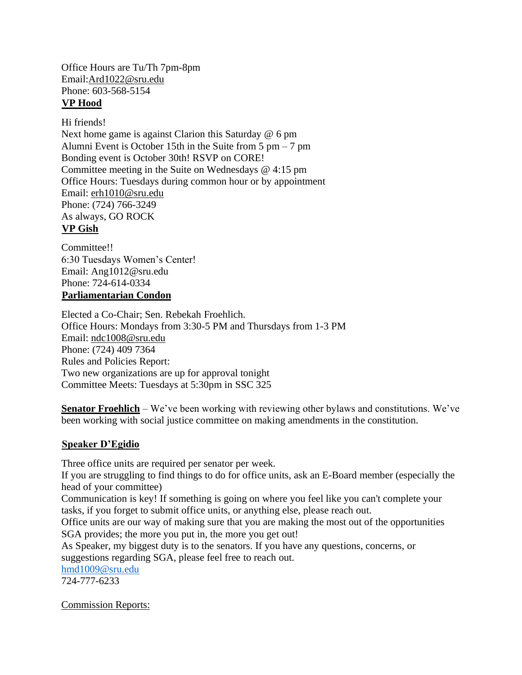Office Hours are Tu/Th 7pm-8pm Email[:Ard1022@sru.edu](mailto:Ard1022@sru.edu) Phone: 603-568-5154 **VP Hood**

Hi friends! Next home game is against Clarion this Saturday @ 6 pm Alumni Event is October 15th in the Suite from 5 pm – 7 pm Bonding event is October 30th! RSVP on CORE! Committee meeting in the Suite on Wednesdays @ 4:15 pm Office Hours: Tuesdays during common hour or by appointment Email: [erh1010@sru.edu](mailto:erh1010@sru.edu) Phone: (724) 766-3249 As always, GO ROCK **VP Gish**

Committee!! 6:30 Tuesdays Women's Center! Email: Ang101[2@sru.edu](mailto:Ard1022@sru.edu) Phone: 724-614-0334 **Parliamentarian Condon**

Elected a Co-Chair; Sen. Rebekah Froehlich. Office Hours: Mondays from 3:30-5 PM and Thursdays from 1-3 PM Email: [ndc1008@sru.edu](mailto:ndc1008@sru.edu) Phone: (724) 409 7364 Rules and Policies Report: Two new organizations are up for approval tonight Committee Meets: Tuesdays at 5:30pm in SSC 325

**Senator Froehlich** – We've been working with reviewing other bylaws and constitutions. We've been working with social justice committee on making amendments in the constitution.

# **Speaker D'Egidio**

Three office units are required per senator per week.

If you are struggling to find things to do for office units, ask an E-Board member (especially the head of your committee)

Communication is key! If something is going on where you feel like you can't complete your tasks, if you forget to submit office units, or anything else, please reach out.

Office units are our way of making sure that you are making the most out of the opportunities SGA provides; the more you put in, the more you get out!

As Speaker, my biggest duty is to the senators. If you have any questions, concerns, or suggestions regarding SGA, please feel free to reach out.

[hmd1009@sru.edu](mailto:hmd1009@sru.edu)

724-777-6233

Commission Reports: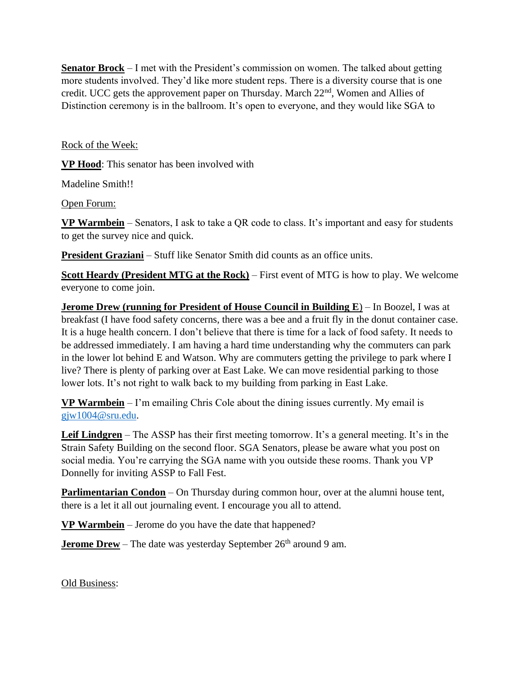**Senator Brock** – I met with the President's commission on women. The talked about getting more students involved. They'd like more student reps. There is a diversity course that is one credit. UCC gets the approvement paper on Thursday. March 22nd, Women and Allies of Distinction ceremony is in the ballroom. It's open to everyone, and they would like SGA to

Rock of the Week:

**VP Hood**: This senator has been involved with

Madeline Smith!!

Open Forum:

**VP Warmbein** – Senators, I ask to take a QR code to class. It's important and easy for students to get the survey nice and quick.

**President Graziani** – Stuff like Senator Smith did counts as an office units.

**Scott Heardy (President MTG at the Rock)** – First event of MTG is how to play. We welcome everyone to come join.

**Jerome Drew (running for President of House Council in Building E) – In Boozel, I was at** breakfast (I have food safety concerns, there was a bee and a fruit fly in the donut container case. It is a huge health concern. I don't believe that there is time for a lack of food safety. It needs to be addressed immediately. I am having a hard time understanding why the commuters can park in the lower lot behind E and Watson. Why are commuters getting the privilege to park where I live? There is plenty of parking over at East Lake. We can move residential parking to those lower lots. It's not right to walk back to my building from parking in East Lake.

**VP Warmbein** – I'm emailing Chris Cole about the dining issues currently. My email is [gjw1004@sru.edu.](mailto:gjw1004@sru.edu)

**Leif Lindgren** – The ASSP has their first meeting tomorrow. It's a general meeting. It's in the Strain Safety Building on the second floor. SGA Senators, please be aware what you post on social media. You're carrying the SGA name with you outside these rooms. Thank you VP Donnelly for inviting ASSP to Fall Fest.

**Parlimentarian Condon** – On Thursday during common hour, over at the alumni house tent, there is a let it all out journaling event. I encourage you all to attend.

**VP Warmbein** – Jerome do you have the date that happened?

**Jerome Drew** – The date was yesterday September 26<sup>th</sup> around 9 am.

Old Business: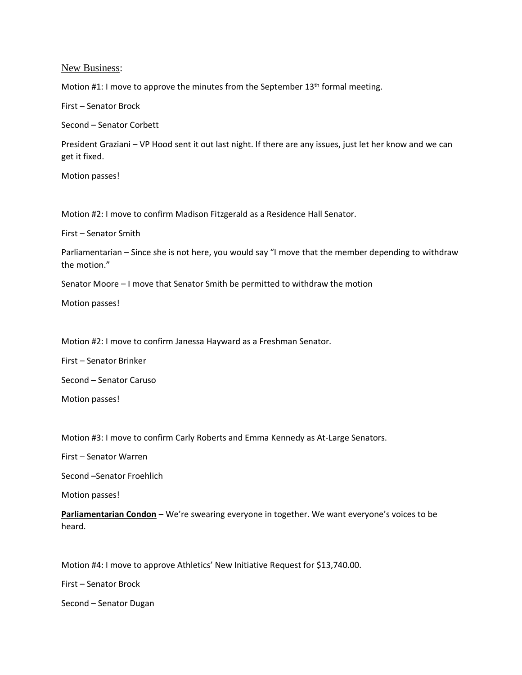New Business:

Motion #1: I move to approve the minutes from the September 13<sup>th</sup> formal meeting.

First – Senator Brock

Second – Senator Corbett

President Graziani – VP Hood sent it out last night. If there are any issues, just let her know and we can get it fixed.

Motion passes!

Motion #2: I move to confirm Madison Fitzgerald as a Residence Hall Senator.

First – Senator Smith

Parliamentarian – Since she is not here, you would say "I move that the member depending to withdraw the motion."

Senator Moore – I move that Senator Smith be permitted to withdraw the motion

Motion passes!

Motion #2: I move to confirm Janessa Hayward as a Freshman Senator.

First – Senator Brinker

Second – Senator Caruso

Motion passes!

Motion #3: I move to confirm Carly Roberts and Emma Kennedy as At-Large Senators.

First – Senator Warren

Second –Senator Froehlich

Motion passes!

**Parliamentarian Condon** – We're swearing everyone in together. We want everyone's voices to be heard.

Motion #4: I move to approve Athletics' New Initiative Request for \$13,740.00.

First – Senator Brock

Second – Senator Dugan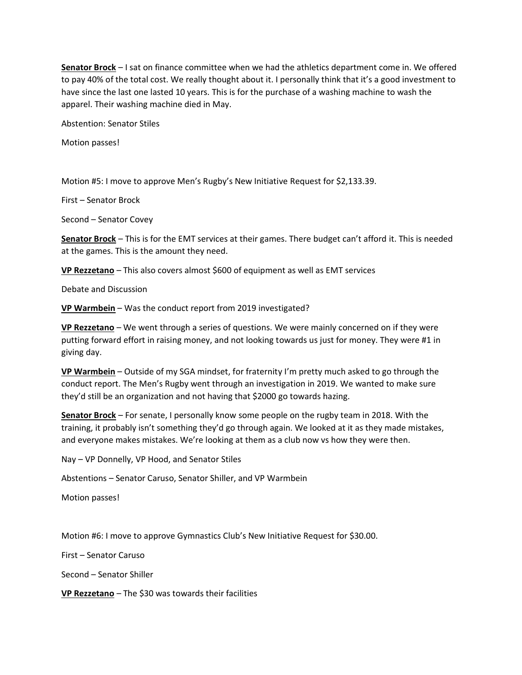**Senator Brock** – I sat on finance committee when we had the athletics department come in. We offered to pay 40% of the total cost. We really thought about it. I personally think that it's a good investment to have since the last one lasted 10 years. This is for the purchase of a washing machine to wash the apparel. Their washing machine died in May.

Abstention: Senator Stiles

Motion passes!

Motion #5: I move to approve Men's Rugby's New Initiative Request for \$2,133.39.

First – Senator Brock

Second – Senator Covey

**Senator Brock** – This is for the EMT services at their games. There budget can't afford it. This is needed at the games. This is the amount they need.

**VP Rezzetano** – This also covers almost \$600 of equipment as well as EMT services

Debate and Discussion

**VP Warmbein** – Was the conduct report from 2019 investigated?

**VP Rezzetano** – We went through a series of questions. We were mainly concerned on if they were putting forward effort in raising money, and not looking towards us just for money. They were #1 in giving day.

**VP Warmbein** – Outside of my SGA mindset, for fraternity I'm pretty much asked to go through the conduct report. The Men's Rugby went through an investigation in 2019. We wanted to make sure they'd still be an organization and not having that \$2000 go towards hazing.

**Senator Brock** – For senate, I personally know some people on the rugby team in 2018. With the training, it probably isn't something they'd go through again. We looked at it as they made mistakes, and everyone makes mistakes. We're looking at them as a club now vs how they were then.

Nay – VP Donnelly, VP Hood, and Senator Stiles

Abstentions – Senator Caruso, Senator Shiller, and VP Warmbein

Motion passes!

Motion #6: I move to approve Gymnastics Club's New Initiative Request for \$30.00.

First – Senator Caruso

Second – Senator Shiller

**VP Rezzetano** – The \$30 was towards their facilities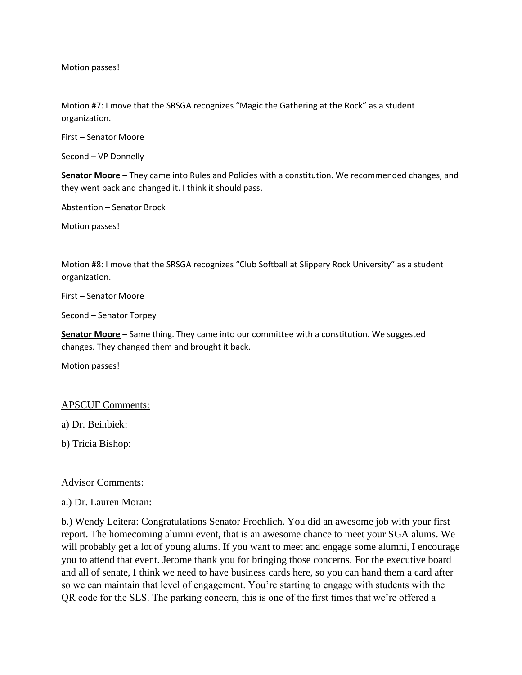Motion passes!

Motion #7: I move that the SRSGA recognizes "Magic the Gathering at the Rock" as a student organization.

First – Senator Moore

Second – VP Donnelly

**Senator Moore** – They came into Rules and Policies with a constitution. We recommended changes, and they went back and changed it. I think it should pass.

Abstention – Senator Brock

Motion passes!

Motion #8: I move that the SRSGA recognizes "Club Softball at Slippery Rock University" as a student organization.

First – Senator Moore

Second – Senator Torpey

**Senator Moore** – Same thing. They came into our committee with a constitution. We suggested changes. They changed them and brought it back.

Motion passes!

#### APSCUF Comments:

a) Dr. Beinbiek:

b) Tricia Bishop:

#### Advisor Comments:

a.) Dr. Lauren Moran:

b.) Wendy Leitera: Congratulations Senator Froehlich. You did an awesome job with your first report. The homecoming alumni event, that is an awesome chance to meet your SGA alums. We will probably get a lot of young alums. If you want to meet and engage some alumni, I encourage you to attend that event. Jerome thank you for bringing those concerns. For the executive board and all of senate, I think we need to have business cards here, so you can hand them a card after so we can maintain that level of engagement. You're starting to engage with students with the QR code for the SLS. The parking concern, this is one of the first times that we're offered a